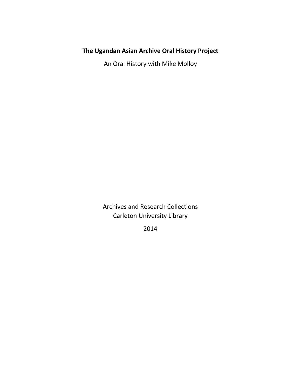# **The Ugandan Asian Archive Oral History Project**

An Oral History with Mike Molloy

Archives and Research Collections Carleton University Library

2014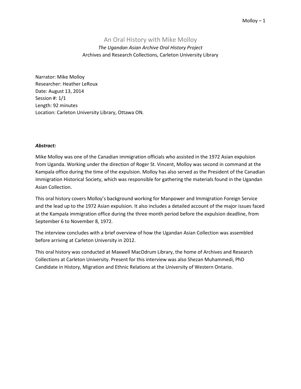## An Oral History with Mike Molloy

*The Ugandan Asian Archive Oral History Project* Archives and Research Collections, Carleton University Library

Narrator: Mike Molloy Researcher: Heather LeRoux Date: August 13, 2014 Session #: 1/1 Length: 92 minutes Location: Carleton University Library, Ottawa ON.

### *Abstract:*

Mike Molloy was one of the Canadian immigration officials who assisted in the 1972 Asian expulsion from Uganda. Working under the direction of Roger St. Vincent, Molloy was second in command at the Kampala office during the time of the expulsion. Molloy has also served as the President of the Canadian Immigration Historical Society, which was responsible for gathering the materials found in the Ugandan Asian Collection.

This oral history covers Molloy's background working for Manpower and Immigration Foreign Service and the lead up to the 1972 Asian expulsion. It also includes a detailed account of the major issues faced at the Kampala immigration office during the three month period before the expulsion deadline, from September 6 to November 8, 1972.

The interview concludes with a brief overview of how the Ugandan Asian Collection was assembled before arriving at Carleton University in 2012.

This oral history was conducted at Maxwell MacOdrum Library, the home of Archives and Research Collections at Carleton University. Present for this interview was also Shezan Muhammedi, PhD Candidate in History, Migration and Ethnic Relations at the University of Western Ontario.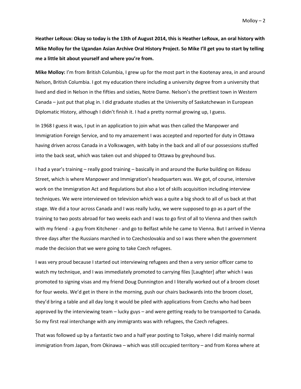**Heather LeRoux: Okay so today is the 13th of August 2014, this is Heather LeRoux, an oral history with Mike Molloy for the Ugandan Asian Archive Oral History Project. So Mike I'll get you to start by telling me a little bit about yourself and where you're from.** 

**Mike Molloy:** I'm from British Columbia, I grew up for the most part in the Kootenay area, in and around Nelson, British Columbia. I got my education there including a university degree from a university that lived and died in Nelson in the fifties and sixties, Notre Dame. Nelson's the prettiest town in Western Canada – just put that plug in. I did graduate studies at the University of Saskatchewan in European Diplomatic History, although I didn't finish it. I had a pretty normal growing up, I guess.

In 1968 I guess it was, I put in an application to join what was then called the Manpower and Immigration Foreign Service, and to my amazement I was accepted and reported for duty in Ottawa having driven across Canada in a Volkswagen, with baby in the back and all of our possessions stuffed into the back seat, which was taken out and shipped to Ottawa by greyhound bus.

I had a year's training – really good training – basically in and around the Burke building on Rideau Street, which is where Manpower and Immigration's headquarters was. We got, of course, intensive work on the Immigration Act and Regulations but also a lot of skills acquisition including interview techniques. We were interviewed on television which was a quite a big shock to all of us back at that stage. We did a tour across Canada and I was really lucky, we were supposed to go as a part of the training to two posts abroad for two weeks each and I was to go first of all to Vienna and then switch with my friend - a guy from Kitchener - and go to Belfast while he came to Vienna. But I arrived in Vienna three days after the Russians marched in to Czechoslovakia and so I was there when the government made the decision that we were going to take Czech refugees.

I was very proud because I started out interviewing refugees and then a very senior officer came to watch my technique, and I was immediately promoted to carrying files [Laughter] after which I was promoted to signing visas and my friend Doug Dunnington and I literally worked out of a broom closet for four weeks. We'd get in there in the morning, push our chairs backwards into the broom closet, they'd bring a table and all day long it would be piled with applications from Czechs who had been approved by the interviewing team – lucky guys – and were getting ready to be transported to Canada. So my first real interchange with any immigrants was with refugees, the Czech refugees.

That was followed up by a fantastic two and a half year posting to Tokyo, where I did mainly normal immigration from Japan, from Okinawa – which was still occupied territory – and from Korea where at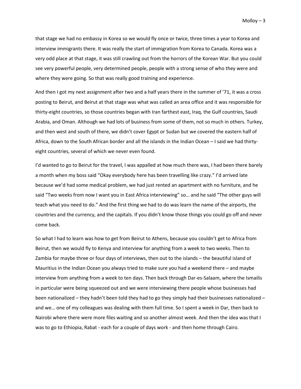that stage we had no embassy in Korea so we would fly once or twice, three times a year to Korea and interview immigrants there. It was really the start of immigration from Korea to Canada. Korea was a very odd place at that stage, it was still crawling out from the horrors of the Korean War. But you could see very powerful people, very determined people, people with a strong sense of who they were and where they were going. So that was really good training and experience.

And then I got my next assignment after two and a half years there in the summer of '71, it was a cross posting to Beirut, and Beirut at that stage was what was called an area office and it was responsible for thirty-eight countries, so those countries began with Iran farthest east, Iraq, the Gulf countries, Saudi Arabia, and Oman. Although we had lots of business from some of them, not so much in others. Turkey, and then west and south of there, we didn't cover Egypt or Sudan but we covered the eastern half of Africa, down to the South African border and all the islands in the Indian Ocean – I said we had thirtyeight countries, several of which we never even found.

I'd wanted to go to Beirut for the travel, I was appalled at how much there was, I had been there barely a month when my boss said "Okay everybody here has been travelling like crazy." I'd arrived late because we'd had some medical problem, we had just rented an apartment with no furniture, and he said "Two weeks from now I want you in East Africa interviewing" so… and he said "The other guys will teach what you need to do." And the first thing we had to do was learn the name of the airports, the countries and the currency, and the capitals. If you didn't know those things you could go off and never come back.

So what I had to learn was how to get from Beirut to Athens, because you couldn't get to Africa from Beirut, then we would fly to Kenya and interview for anything from a week to two weeks. Then to Zambia for maybe three or four days of interviews, then out to the islands – the beautiful island of Mauritius in the Indian Ocean you always tried to make sure you had a weekend there – and maybe interview from anything from a week to ten days. Then back through Dar-es-Salaam, where the Ismailis in particular were being squeezed out and we were interviewing there people whose businesses had been nationalized – they hadn't been told they had to go they simply had their businesses nationalized – and we… one of my colleagues was dealing with them full time. So I spent a week in Dar, then back to Nairobi where there were more files waiting and so another almost week. And then the idea was that I was to go to Ethiopia, Rabat - each for a couple of days work - and then home through Cairo.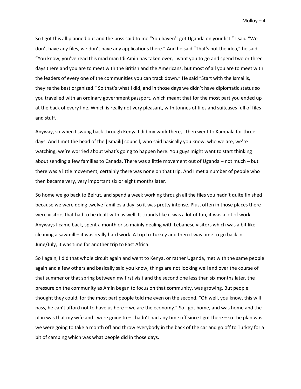So I got this all planned out and the boss said to me "You haven't got Uganda on your list." I said "We don't have any files, we don't have any applications there." And he said "That's not the idea," he said "You know, you've read this mad man Idi Amin has taken over, I want you to go and spend two or three days there and you are to meet with the British and the Americans, but most of all you are to meet with the leaders of every one of the communities you can track down." He said "Start with the Ismailis, they're the best organized." So that's what I did, and in those days we didn't have diplomatic status so you travelled with an ordinary government passport, which meant that for the most part you ended up at the back of every line. Which is really not very pleasant, with tonnes of files and suitcases full of files and stuff.

Anyway, so when I swung back through Kenya I did my work there, I then went to Kampala for three days. And I met the head of the [Ismaili] council, who said basically you know, who we are, we're watching, we're worried about what's going to happen here. You guys might want to start thinking about sending a few families to Canada. There was a little movement out of Uganda – not much – but there was a little movement, certainly there was none on that trip. And I met a number of people who then became very, very important six or eight months later.

So home we go back to Beirut, and spend a week working through all the files you hadn't quite finished because we were doing twelve families a day, so it was pretty intense. Plus, often in those places there were visitors that had to be dealt with as well. It sounds like it was a lot of fun, it was a lot of work. Anyways I came back, spent a month or so mainly dealing with Lebanese visitors which was a bit like cleaning a sawmill – it was really hard work. A trip to Turkey and then it was time to go back in June/July, it was time for another trip to East Africa.

So I again, I did that whole circuit again and went to Kenya, or rather Uganda, met with the same people again and a few others and basically said you know, things are not looking well and over the course of that summer or that spring between my first visit and the second one less than six months later, the pressure on the community as Amin began to focus on that community, was growing. But people thought they could, for the most part people told me even on the second, "Oh well, you know, this will pass, he can't afford not to have us here – we are the economy." So I got home, and was home and the plan was that my wife and I were going to – I hadn't had any time off since I got there – so the plan was we were going to take a month off and throw everybody in the back of the car and go off to Turkey for a bit of camping which was what people did in those days.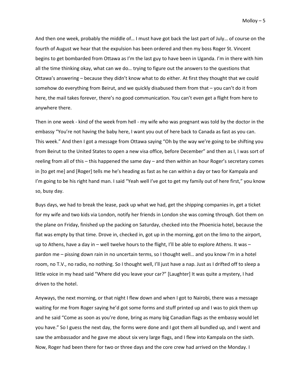And then one week, probably the middle of… I must have got back the last part of July… of course on the fourth of August we hear that the expulsion has been ordered and then my boss Roger St. Vincent begins to get bombarded from Ottawa as I'm the last guy to have been in Uganda. I'm in there with him all the time thinking okay, what can we do… trying to figure out the answers to the questions that Ottawa's answering – because they didn't know what to do either. At first they thought that we could somehow do everything from Beirut, and we quickly disabused them from that – you can't do it from here, the mail takes forever, there's no good communication. You can't even get a flight from here to anywhere there.

Then in one week - kind of the week from hell - my wife who was pregnant was told by the doctor in the embassy "You're not having the baby here, I want you out of here back to Canada as fast as you can. This week." And then I got a message from Ottawa saying "Oh by the way we're going to be shifting you from Beirut to the United States to open a new visa office, before December" and then as I, I was sort of reeling from all of this – this happened the same day – and then within an hour Roger's secretary comes in [to get me] and [Roger] tells me he's heading as fast as he can within a day or two for Kampala and I'm going to be his right hand man. I said "Yeah well I've got to get my family out of here first," you know so, busy day.

Buys days, we had to break the lease, pack up what we had, get the shipping companies in, get a ticket for my wife and two kids via London, notify her friends in London she was coming through. Got them on the plane on Friday, finished up the packing on Saturday, checked into the Phoenicia hotel, because the flat was empty by that time. Drove in, checked in, got up in the morning, got on the limo to the airport, up to Athens, have a day in – well twelve hours to the flight, I'll be able to explore Athens. It was – pardon me – pissing down rain in no uncertain terms, so I thought well… and you know I'm in a hotel room, no T.V., no radio, no nothing. So I thought well, I'll just have a nap. Just as I drifted off to sleep a little voice in my head said "Where did you leave your car?" [Laughter] It was quite a mystery, I had driven to the hotel.

Anyways, the next morning, or that night I flew down and when I got to Nairobi, there was a message waiting for me from Roger saying he'd got some forms and stuff printed up and I was to pick them up and he said "Come as soon as you're done, bring as many big Canadian flags as the embassy would let you have." So I guess the next day, the forms were done and I got them all bundled up, and I went and saw the ambassador and he gave me about six very large flags, and I flew into Kampala on the sixth. Now, Roger had been there for two or three days and the core crew had arrived on the Monday. I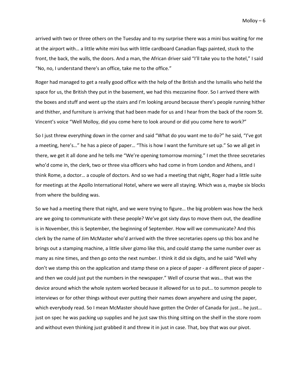arrived with two or three others on the Tuesday and to my surprise there was a mini bus waiting for me at the airport with… a little white mini bus with little cardboard Canadian flags painted, stuck to the front, the back, the walls, the doors. And a man, the African driver said "I'll take you to the hotel," I said "No, no, I understand there's an office, take me to the office."

Roger had managed to get a really good office with the help of the British and the Ismailis who held the space for us, the British they put in the basement, we had this mezzanine floor. So I arrived there with the boxes and stuff and went up the stairs and I'm looking around because there's people running hither and thither, and furniture is arriving that had been made for us and I hear from the back of the room St. Vincent's voice "Well Molloy, did you come here to look around or did you come here to work?"

So I just threw everything down in the corner and said "What do you want me to do?" he said, "I've got a meeting, here's…" he has a piece of paper… "This is how I want the furniture set up." So we all get in there, we get it all done and he tells me "We're opening tomorrow morning." I met the three secretaries who'd come in, the clerk, two or three visa officers who had come in from London and Athens, and I think Rome, a doctor… a couple of doctors. And so we had a meeting that night, Roger had a little suite for meetings at the Apollo International Hotel, where we were all staying. Which was a, maybe six blocks from where the building was.

So we had a meeting there that night, and we were trying to figure… the big problem was how the heck are we going to communicate with these people? We've got sixty days to move them out, the deadline is in November, this is September, the beginning of September. How will we communicate? And this clerk by the name of Jim McMaster who'd arrived with the three secretaries opens up this box and he brings out a stamping machine, a little silver gizmo like this, and could stamp the same number over as many as nine times, and then go onto the next number. I think it did six digits, and he said "Well why don't we stamp this on the application and stamp these on a piece of paper - a different piece of paper and then we could just put the numbers in the newspaper." Well of course that was… that was the device around which the whole system worked because it allowed for us to put… to summon people to interviews or for other things without ever putting their names down anywhere and using the paper, which everybody read. So I mean McMaster should have gotten the Order of Canada for just... he just... just on spec he was packing up supplies and he just saw this thing sitting on the shelf in the store room and without even thinking just grabbed it and threw it in just in case. That, boy that was our pivot.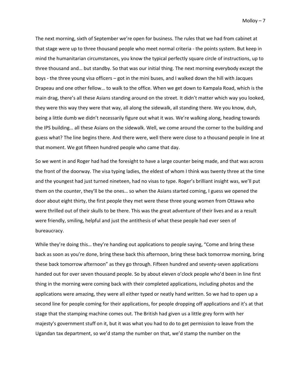The next morning, sixth of September we're open for business. The rules that we had from cabinet at that stage were up to three thousand people who meet normal criteria - the points system. But keep in mind the humanitarian circumstances, you know the typical perfectly square circle of instructions, up to three thousand and… but standby. So that was our initial thing. The next morning everybody except the boys - the three young visa officers – got in the mini buses, and I walked down the hill with Jacques Drapeau and one other fellow… to walk to the office. When we get down to Kampala Road, which is the main drag, there's all these Asians standing around on the street. It didn't matter which way you looked, they were this way they were that way, all along the sidewalk, all standing there. We you know, duh, being a little dumb we didn't necessarily figure out what it was. We're walking along, heading towards the IPS building… all these Asians on the sidewalk. Well, we come around the corner to the building and guess what? The line begins there. And there were, well there were close to a thousand people in line at that moment. We got fifteen hundred people who came that day.

So we went in and Roger had had the foresight to have a large counter being made, and that was across the front of the doorway. The visa typing ladies, the eldest of whom I think was twenty three at the time and the youngest had just turned nineteen, had no visas to type. Roger's brilliant insight was, we'll put them on the counter, they'll be the ones… so when the Asians started coming, I guess we opened the door about eight thirty, the first people they met were these three young women from Ottawa who were thrilled out of their skulls to be there. This was the great adventure of their lives and as a result were friendly, smiling, helpful and just the antithesis of what these people had ever seen of bureaucracy.

While they're doing this... they're handing out applications to people saying, "Come and bring these back as soon as you're done, bring these back this afternoon, bring these back tomorrow morning, bring these back tomorrow afternoon" as they go through. Fifteen hundred and seventy-seven applications handed out for over seven thousand people. So by about eleven o'clock people who'd been in line first thing in the morning were coming back with their completed applications, including photos and the applications were amazing, they were all either typed or neatly hand written. So we had to open up a second line for people coming for their applications, for people dropping off applications and it's at that stage that the stamping machine comes out. The British had given us a little grey form with her majesty's government stuff on it, but it was what you had to do to get permission to leave from the Ugandan tax department, so we'd stamp the number on that, we'd stamp the number on the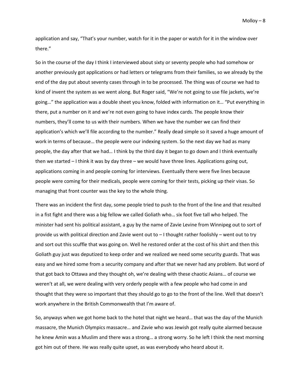application and say, "That's your number, watch for it in the paper or watch for it in the window over there."

So in the course of the day I think I interviewed about sixty or seventy people who had somehow or another previously got applications or had letters or telegrams from their families, so we already by the end of the day put about seventy cases through in to be processed. The thing was of course we had to kind of invent the system as we went along. But Roger said, "We're not going to use file jackets, we're going…" the application was a double sheet you know, folded with information on it… "Put everything in there, put a number on it and we're not even going to have index cards. The people know their numbers, they'll come to us with their numbers. When we have the number we can find their application's which we'll file according to the number." Really dead simple so it saved a huge amount of work in terms of because… the people were our indexing system. So the next day we had as many people, the day after that we had… I think by the third day it began to go down and I think eventually then we started – I think it was by day three – we would have three lines. Applications going out, applications coming in and people coming for interviews. Eventually there were five lines because people were coming for their medicals, people were coming for their tests, picking up their visas. So managing that front counter was the key to the whole thing.

There was an incident the first day, some people tried to push to the front of the line and that resulted in a fist fight and there was a big fellow we called Goliath who… six foot five tall who helped. The minister had sent his political assistant, a guy by the name of Zavie Levine from Winnipeg out to sort of provide us with political direction and Zavie went out to – I thought rather foolishly – went out to try and sort out this scuffle that was going on. Well he restored order at the cost of his shirt and then this Goliath guy just was deputized to keep order and we realized we need some security guards. That was easy and we hired some from a security company and after that we never had any problem. But word of that got back to Ottawa and they thought oh, we're dealing with these chaotic Asians… of course we weren't at all, we were dealing with very orderly people with a few people who had come in and thought that they were so important that they should go to go to the front of the line. Well that doesn't work anywhere in the British Commonwealth that I'm aware of.

So, anyways when we got home back to the hotel that night we heard… that was the day of the Munich massacre, the Munich Olympics massacre… and Zavie who was Jewish got really quite alarmed because he knew Amin was a Muslim and there was a strong… a strong worry. So he left I think the next morning got him out of there. He was really quite upset, as was everybody who heard about it.

Molloy  $-8$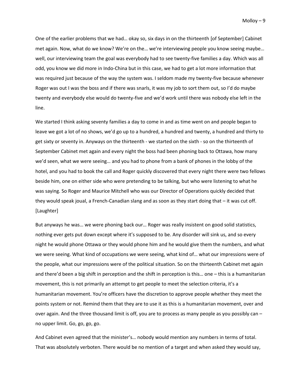One of the earlier problems that we had… okay so, six days in on the thirteenth [of September] Cabinet met again. Now, what do we know? We're on the… we're interviewing people you know seeing maybe… well, our interviewing team the goal was everybody had to see twenty-five families a day. Which was all odd, you know we did more in Indo-China but in this case, we had to get a lot more information that was required just because of the way the system was. I seldom made my twenty-five because whenever Roger was out I was the boss and if there was snarls, it was my job to sort them out, so I'd do maybe twenty and everybody else would do twenty-five and we'd work until there was nobody else left in the line.

We started I think asking seventy families a day to come in and as time went on and people began to leave we got a lot of no shows, we'd go up to a hundred, a hundred and twenty, a hundred and thirty to get sixty or seventy in. Anyways on the thirteenth - we started on the sixth - so on the thirteenth of September Cabinet met again and every night the boss had been phoning back to Ottawa, how many we'd seen, what we were seeing… and you had to phone from a bank of phones in the lobby of the hotel, and you had to book the call and Roger quickly discovered that every night there were two fellows beside him, one on either side who were pretending to be talking, but who were listening to what he was saying. So Roger and Maurice Mitchell who was our Director of Operations quickly decided that they would speak joual, a French-Canadian slang and as soon as they start doing that – it was cut off. [Laughter]

But anyways he was… we were phoning back our… Roger was really insistent on good solid statistics, nothing ever gets put down except where it's supposed to be. Any disorder will sink us, and so every night he would phone Ottawa or they would phone him and he would give them the numbers, and what we were seeing. What kind of occupations we were seeing, what kind of… what our impressions were of the people, what our impressions were of the political situation. So on the thirteenth Cabinet met again and there'd been a big shift in perception and the shift in perception is this… one – this is a humanitarian movement, this is not primarily an attempt to get people to meet the selection criteria, it's a humanitarian movement. You're officers have the discretion to approve people whether they meet the points system or not. Remind them that they are to use it as this is a humanitarian movement, over and over again. And the three thousand limit is off, you are to process as many people as you possibly can – no upper limit. Go, go, go, go.

And Cabinet even agreed that the minister's… nobody would mention any numbers in terms of total. That was absolutely verboten. There would be no mention of a target and when asked they would say,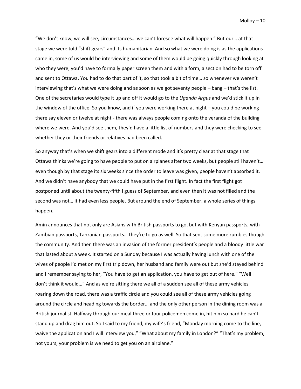"We don't know, we will see, circumstances… we can't foresee what will happen." But our… at that stage we were told "shift gears" and its humanitarian. And so what we were doing is as the applications came in, some of us would be interviewing and some of them would be going quickly through looking at who they were, you'd have to formally paper screen them and with a form, a section had to be torn off and sent to Ottawa. You had to do that part of it, so that took a bit of time… so whenever we weren't interviewing that's what we were doing and as soon as we got seventy people – bang – that's the list. One of the secretaries would type it up and off it would go to the *Uganda Argus* and we'd stick it up in the window of the office. So you know, and if you were working there at night – you could be working there say eleven or twelve at night - there was always people coming onto the veranda of the building where we were. And you'd see them, they'd have a little list of numbers and they were checking to see whether they or their friends or relatives had been called.

So anyway that's when we shift gears into a different mode and it's pretty clear at that stage that Ottawa thinks we're going to have people to put on airplanes after two weeks, but people still haven't… even though by that stage its six weeks since the order to leave was given, people haven't absorbed it. And we didn't have anybody that we could have put in the first flight. In fact the first flight got postponed until about the twenty-fifth I guess of September, and even then it was not filled and the second was not… it had even less people. But around the end of September, a whole series of things happen.

Amin announces that not only are Asians with British passports to go, but with Kenyan passports, with Zambian passports, Tanzanian passports… they're to go as well. So that sent some more rumbles though the community. And then there was an invasion of the former president's people and a bloody little war that lasted about a week. It started on a Sunday because I was actually having lunch with one of the wives of people I'd met on my first trip down, her husband and family were out but she'd stayed behind and I remember saying to her, "You have to get an application, you have to get out of here." "Well I don't think it would…" And as we're sitting there we all of a sudden see all of these army vehicles roaring down the road, there was a traffic circle and you could see all of these army vehicles going around the circle and heading towards the border… and the only other person in the dining room was a British journalist. Halfway through our meal three or four policemen come in, hit him so hard he can't stand up and drag him out. So I said to my friend, my wife's friend, "Monday morning come to the line, waive the application and I will interview you," "What about my family in London?" "That's my problem, not yours, your problem is we need to get you on an airplane."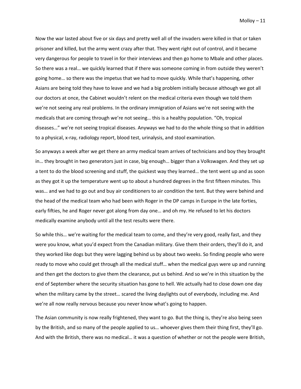Now the war lasted about five or six days and pretty well all of the invaders were killed in that or taken prisoner and killed, but the army went crazy after that. They went right out of control, and it became very dangerous for people to travel in for their interviews and then go home to Mbale and other places. So there was a real… we quickly learned that if there was someone coming in from outside they weren't going home… so there was the impetus that we had to move quickly. While that's happening, other Asians are being told they have to leave and we had a big problem initially because although we got all our doctors at once, the Cabinet wouldn't relent on the medical criteria even though we told them we're not seeing any real problems. In the ordinary immigration of Asians we're not seeing with the medicals that are coming through we're not seeing… this is a healthy population. "Oh, tropical diseases…" we're not seeing tropical diseases. Anyways we had to do the whole thing so that in addition to a physical, x-ray, radiology report, blood test, urinalysis, and stool examination.

So anyways a week after we get there an army medical team arrives of technicians and boy they brought in… they brought in two generators just in case, big enough… bigger than a Volkswagen. And they set up a tent to do the blood screening and stuff, the quickest way they learned… the tent went up and as soon as they got it up the temperature went up to about a hundred degrees in the first fifteen minutes. This was… and we had to go out and buy air conditioners to air condition the tent. But they were behind and the head of the medical team who had been with Roger in the DP camps in Europe in the late forties, early fifties, he and Roger never got along from day one… and oh my. He refused to let his doctors medically examine anybody until all the test results were there.

So while this… we're waiting for the medical team to come, and they're very good, really fast, and they were you know, what you'd expect from the Canadian military. Give them their orders, they'll do it, and they worked like dogs but they were lagging behind us by about two weeks. So finding people who were ready to move who could get through all the medical stuff… when the medical guys were up and running and then get the doctors to give them the clearance, put us behind. And so we're in this situation by the end of September where the security situation has gone to hell. We actually had to close down one day when the military came by the street… scared the living daylights out of everybody, including me. And we're all now really nervous because you never know what's going to happen.

The Asian community is now really frightened, they want to go. But the thing is, they're also being seen by the British, and so many of the people applied to us… whoever gives them their thing first, they'll go. And with the British, there was no medical… it was a question of whether or not the people were British,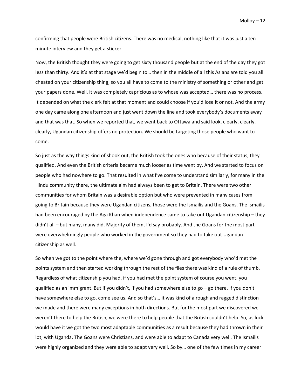confirming that people were British citizens. There was no medical, nothing like that it was just a ten minute interview and they get a sticker.

Now, the British thought they were going to get sixty thousand people but at the end of the day they got less than thirty. And it's at that stage we'd begin to… then in the middle of all this Asians are told you all cheated on your citizenship thing, so you all have to come to the ministry of something or other and get your papers done. Well, it was completely capricious as to whose was accepted… there was no process. It depended on what the clerk felt at that moment and could choose if you'd lose it or not. And the army one day came along one afternoon and just went down the line and took everybody's documents away and that was that. So when we reported that, we went back to Ottawa and said look, clearly, clearly, clearly, Ugandan citizenship offers no protection. We should be targeting those people who want to come.

So just as the way things kind of shook out, the British took the ones who because of their status, they qualified. And even the British criteria became much looser as time went by. And we started to focus on people who had nowhere to go. That resulted in what I've come to understand similarly, for many in the Hindu community there, the ultimate aim had always been to get to Britain. There were two other communities for whom Britain was a desirable option but who were prevented in many cases from going to Britain because they were Ugandan citizens, those were the Ismailis and the Goans. The Ismailis had been encouraged by the Aga Khan when independence came to take out Ugandan citizenship – they didn't all – but many, many did. Majority of them, I'd say probably. And the Goans for the most part were overwhelmingly people who worked in the government so they had to take out Ugandan citizenship as well.

So when we got to the point where the, where we'd gone through and got everybody who'd met the points system and then started working through the rest of the files there was kind of a rule of thumb. Regardless of what citizenship you had, if you had met the point system of course you went, you qualified as an immigrant. But if you didn't, if you had somewhere else to go – go there. If you don't have somewhere else to go, come see us. And so that's… it was kind of a rough and ragged distinction we made and there were many exceptions in both directions. But for the most part we discovered we weren't there to help the British, we were there to help people that the British couldn't help. So, as luck would have it we got the two most adaptable communities as a result because they had thrown in their lot, with Uganda. The Goans were Christians, and were able to adapt to Canada very well. The Ismailis were highly organized and they were able to adapt very well. So by… one of the few times in my career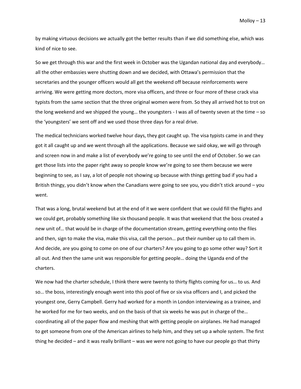by making virtuous decisions we actually got the better results than if we did something else, which was kind of nice to see.

So we get through this war and the first week in October was the Ugandan national day and everybody… all the other embassies were shutting down and we decided, with Ottawa's permission that the secretaries and the younger officers would all get the weekend off because reinforcements were arriving. We were getting more doctors, more visa officers, and three or four more of these crack visa typists from the same section that the three original women were from. So they all arrived hot to trot on the long weekend and we shipped the young… the youngsters - I was all of twenty seven at the time – so the 'youngsters' we sent off and we used those three days for a real drive.

The medical technicians worked twelve hour days, they got caught up. The visa typists came in and they got it all caught up and we went through all the applications. Because we said okay, we will go through and screen now in and make a list of everybody we're going to see until the end of October. So we can get those lists into the paper right away so people know we're going to see them because we were beginning to see, as I say, a lot of people not showing up because with things getting bad if you had a British thingy, you didn't know when the Canadians were going to see you, you didn't stick around – you went.

That was a long, brutal weekend but at the end of it we were confident that we could fill the flights and we could get, probably something like six thousand people. It was that weekend that the boss created a new unit of… that would be in charge of the documentation stream, getting everything onto the files and then, sign to make the visa, make this visa, call the person… put their number up to call them in. And decide, are you going to come on one of our charters? Are you going to go some other way? Sort it all out. And then the same unit was responsible for getting people… doing the Uganda end of the charters.

We now had the charter schedule, I think there were twenty to thirty flights coming for us... to us. And so… the boss, interestingly enough went into this pool of five or six visa officers and I, and picked the youngest one, Gerry Campbell. Gerry had worked for a month in London interviewing as a trainee, and he worked for me for two weeks, and on the basis of that six weeks he was put in charge of the… coordinating all of the paper flow and meshing that with getting people on airplanes. He had managed to get someone from one of the American airlines to help him, and they set up a whole system. The first thing he decided – and it was really brilliant – was we were not going to have our people go that thirty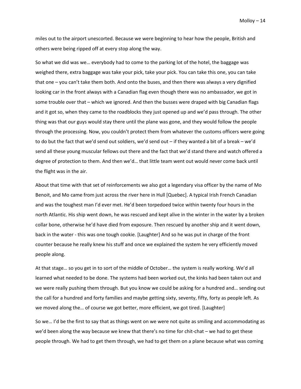miles out to the airport unescorted. Because we were beginning to hear how the people, British and others were being ripped off at every stop along the way.

So what we did was we… everybody had to come to the parking lot of the hotel, the baggage was weighed there, extra baggage was take your pick, take your pick. You can take this one, you can take that one – you can't take them both. And onto the buses, and then there was always a very dignified looking car in the front always with a Canadian flag even though there was no ambassador, we got in some trouble over that – which we ignored. And then the busses were draped with big Canadian flags and it got so, when they came to the roadblocks they just opened up and we'd pass through. The other thing was that our guys would stay there until the plane was gone, and they would follow the people through the processing. Now, you couldn't protect them from whatever the customs officers were going to do but the fact that we'd send out soldiers, we'd send out – if they wanted a bit of a break – we'd send all these young muscular fellows out there and the fact that we'd stand there and watch offered a degree of protection to them. And then we'd… that little team went out would never come back until the flight was in the air.

About that time with that set of reinforcements we also got a legendary visa officer by the name of Mo Benoit, and Mo came from just across the river here in Hull [Quebec]. A typical Irish French Canadian and was the toughest man I'd ever met. He'd been torpedoed twice within twenty four hours in the north Atlantic. His ship went down, he was rescued and kept alive in the winter in the water by a broken collar bone, otherwise he'd have died from exposure. Then rescued by another ship and it went down, back in the water - this was one tough cookie. [Laughter] And so he was put in charge of the front counter because he really knew his stuff and once we explained the system he very efficiently moved people along.

At that stage… so you get in to sort of the middle of October… the system is really working. We'd all learned what needed to be done. The systems had been worked out, the kinks had been taken out and we were really pushing them through. But you know we could be asking for a hundred and… sending out the call for a hundred and forty families and maybe getting sixty, seventy, fifty, forty as people left. As we moved along the… of course we got better, more efficient, we got tired. [Laughter]

So we… I'd be the first to say that as things went on we were not quite as smiling and accommodating as we'd been along the way because we knew that there's no time for chit-chat – we had to get these people through. We had to get them through, we had to get them on a plane because what was coming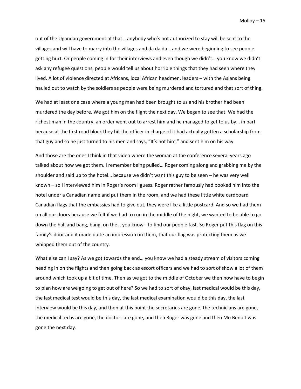out of the Ugandan government at that… anybody who's not authorized to stay will be sent to the villages and will have to marry into the villages and da da da… and we were beginning to see people getting hurt. Or people coming in for their interviews and even though we didn't… you know we didn't ask any refugee questions, people would tell us about horrible things that they had seen where they lived. A lot of violence directed at Africans, local African headmen, leaders – with the Asians being hauled out to watch by the soldiers as people were being murdered and tortured and that sort of thing.

We had at least one case where a young man had been brought to us and his brother had been murdered the day before. We got him on the flight the next day. We began to see that. We had the richest man in the country, an order went out to arrest him and he managed to get to us by… in part because at the first road block they hit the officer in charge of it had actually gotten a scholarship from that guy and so he just turned to his men and says, "It's not him," and sent him on his way.

And those are the ones I think in that video where the woman at the conference several years ago talked about how we got them. I remember being pulled… Roger coming along and grabbing me by the shoulder and said up to the hotel… because we didn't want this guy to be seen – he was very well known – so I interviewed him in Roger's room I guess. Roger rather famously had booked him into the hotel under a Canadian name and put them in the room, and we had these little white cardboard Canadian flags that the embassies had to give out, they were like a little postcard. And so we had them on all our doors because we felt if we had to run in the middle of the night, we wanted to be able to go down the hall and bang, bang, on the… you know - to find our people fast. So Roger put this flag on this family's door and it made quite an impression on them, that our flag was protecting them as we whipped them out of the country.

What else can I say? As we got towards the end... you know we had a steady stream of visitors coming heading in on the flights and then going back as escort officers and we had to sort of show a lot of them around which took up a bit of time. Then as we got to the middle of October we then now have to begin to plan how are we going to get out of here? So we had to sort of okay, last medical would be this day, the last medical test would be this day, the last medical examination would be this day, the last interview would be this day, and then at this point the secretaries are gone, the technicians are gone, the medical techs are gone, the doctors are gone, and then Roger was gone and then Mo Benoit was gone the next day.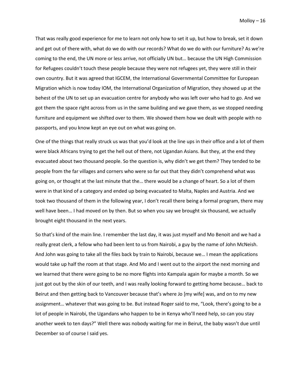That was really good experience for me to learn not only how to set it up, but how to break, set it down and get out of there with, what do we do with our records? What do we do with our furniture? As we're coming to the end, the UN more or less arrive, not officially UN but… because the UN High Commission for Refugees couldn't touch these people because they were not refugees yet, they were still in their own country. But it was agreed that IGCEM, the International Governmental Committee for European Migration which is now today IOM, the International Organization of Migration, they showed up at the behest of the UN to set up an evacuation centre for anybody who was left over who had to go. And we got them the space right across from us in the same building and we gave them, as we stopped needing furniture and equipment we shifted over to them. We showed them how we dealt with people with no passports, and you know kept an eye out on what was going on.

One of the things that really struck us was that you'd look at the line ups in their office and a lot of them were black Africans trying to get the hell out of there, not Ugandan Asians. But they, at the end they evacuated about two thousand people. So the question is, why didn't we get them? They tended to be people from the far villages and corners who were so far out that they didn't comprehend what was going on, or thought at the last minute that the… there would be a change of heart. So a lot of them were in that kind of a category and ended up being evacuated to Malta, Naples and Austria. And we took two thousand of them in the following year, I don't recall there being a formal program, there may well have been… I had moved on by then. But so when you say we brought six thousand, we actually brought eight thousand in the next years.

So that's kind of the main line. I remember the last day, it was just myself and Mo Benoit and we had a really great clerk, a fellow who had been lent to us from Nairobi, a guy by the name of John McNeish. And John was going to take all the files back by train to Nairobi, because we… I mean the applications would take up half the room at that stage. And Mo and I went out to the airport the next morning and we learned that there were going to be no more flights into Kampala again for maybe a month. So we just got out by the skin of our teeth, and I was really looking forward to getting home because… back to Beirut and then getting back to Vancouver because that's where Jo [my wife] was, and on to my new assignment… whatever that was going to be. But instead Roger said to me, "Look, there's going to be a lot of people in Nairobi, the Ugandans who happen to be in Kenya who'll need help, so can you stay another week to ten days?" Well there was nobody waiting for me in Beirut, the baby wasn't due until December so of course I said yes.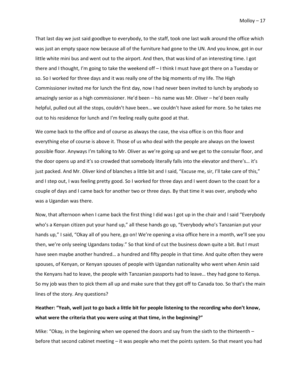That last day we just said goodbye to everybody, to the staff, took one last walk around the office which was just an empty space now because all of the furniture had gone to the UN. And you know, got in our little white mini bus and went out to the airport. And then, that was kind of an interesting time. I got there and I thought, I'm going to take the weekend off – I think I must have got there on a Tuesday or so. So I worked for three days and it was really one of the big moments of my life. The High Commissioner invited me for lunch the first day, now I had never been invited to lunch by anybody so amazingly senior as a high commissioner. He'd been – his name was Mr. Oliver – he'd been really helpful, pulled out all the stops, couldn't have been… we couldn't have asked for more. So he takes me out to his residence for lunch and I'm feeling really quite good at that.

We come back to the office and of course as always the case, the visa office is on this floor and everything else of course is above it. Those of us who deal with the people are always on the lowest possible floor. Anyways I'm talking to Mr. Oliver as we're going up and we get to the consular floor, and the door opens up and it's so crowded that somebody literally falls into the elevator and there's… it's just packed. And Mr. Oliver kind of blanches a little bit and I said, "Excuse me, sir, I'll take care of this," and I step out, I was feeling pretty good. So I worked for three days and I went down to the coast for a couple of days and I came back for another two or three days. By that time it was over, anybody who was a Ugandan was there.

Now, that afternoon when I came back the first thing I did was I got up in the chair and I said "Everybody who's a Kenyan citizen put your hand up," all these hands go up, "Everybody who's Tanzanian put your hands up," I said, "Okay all of you here, go on! We're opening a visa office here in a month, we'll see you then, we're only seeing Ugandans today." So that kind of cut the business down quite a bit. But I must have seen maybe another hundred… a hundred and fifty people in that time. And quite often they were spouses, of Kenyan, or Kenyan spouses of people with Ugandan nationality who went when Amin said the Kenyans had to leave, the people with Tanzanian passports had to leave… they had gone to Kenya. So my job was then to pick them all up and make sure that they got off to Canada too. So that's the main lines of the story. Any questions?

# **Heather: "Yeah, well just to go back a little bit for people listening to the recording who don't know, what were the criteria that you were using at that time, in the beginning?"**

Mike: "Okay, in the beginning when we opened the doors and say from the sixth to the thirteenth  $$ before that second cabinet meeting – it was people who met the points system. So that meant you had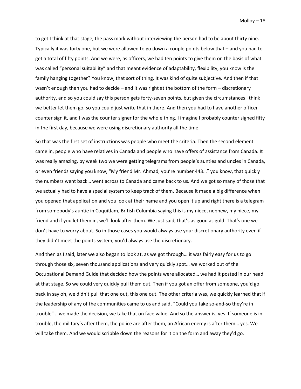to get I think at that stage, the pass mark without interviewing the person had to be about thirty nine. Typically it was forty one, but we were allowed to go down a couple points below that – and you had to get a total of fifty points. And we were, as officers, we had ten points to give them on the basis of what was called "personal suitability" and that meant evidence of adaptability, flexibility, you know is the family hanging together? You know, that sort of thing. It was kind of quite subjective. And then if that wasn't enough then you had to decide – and it was right at the bottom of the form – discretionary authority, and so you could say this person gets forty-seven points, but given the circumstances I think we better let them go, so you could just write that in there. And then you had to have another officer counter sign it, and I was the counter signer for the whole thing. I imagine I probably counter signed fifty in the first day, because we were using discretionary authority all the time.

So that was the first set of instructions was people who meet the criteria. Then the second element came in, people who have relatives in Canada and people who have offers of assistance from Canada. It was really amazing, by week two we were getting telegrams from people's aunties and uncles in Canada, or even friends saying you know, "My friend Mr. Ahmad, you're number 443…" you know, that quickly the numbers went back… went across to Canada and came back to us. And we got so many of those that we actually had to have a special system to keep track of them. Because it made a big difference when you opened that application and you look at their name and you open it up and right there is a telegram from somebody's auntie in Coquitlam, British Columbia saying this is my niece, nephew, my niece, my friend and if you let them in, we'll look after them. We just said, that's as good as gold. That's one we don't have to worry about. So in those cases you would always use your discretionary authority even if they didn't meet the points system, you'd always use the discretionary.

And then as I said, later we also began to look at, as we got through… it was fairly easy for us to go through those six, seven thousand applications and very quickly spot… we worked out of the Occupational Demand Guide that decided how the points were allocated… we had it posted in our head at that stage. So we could very quickly pull them out. Then if you got an offer from someone, you'd go back in say oh, we didn't pull that one out, this one out. The other criteria was, we quickly learned that if the leadership of any of the communities came to us and said, "Could you take so-and-so they're in trouble" …we made the decision, we take that on face value. And so the answer is, yes. If someone is in trouble, the military's after them, the police are after them, an African enemy is after them… yes. We will take them. And we would scribble down the reasons for it on the form and away they'd go.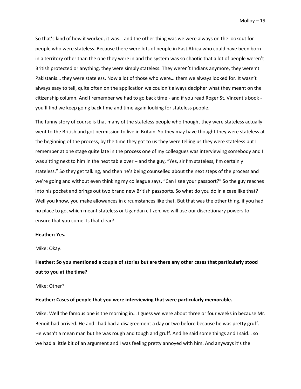So that's kind of how it worked, it was… and the other thing was we were always on the lookout for people who were stateless. Because there were lots of people in East Africa who could have been born in a territory other than the one they were in and the system was so chaotic that a lot of people weren't British protected or anything, they were simply stateless. They weren't Indians anymore, they weren't Pakistanis… they were stateless. Now a lot of those who were… them we always looked for. It wasn't always easy to tell, quite often on the application we couldn't always decipher what they meant on the citizenship column. And I remember we had to go back time - and if you read Roger St. Vincent's book you'll find we keep going back time and time again looking for stateless people.

The funny story of course is that many of the stateless people who thought they were stateless actually went to the British and got permission to live in Britain. So they may have thought they were stateless at the beginning of the process, by the time they got to us they were telling us they were stateless but I remember at one stage quite late in the process one of my colleagues was interviewing somebody and I was sitting next to him in the next table over - and the guy, "Yes, sir I'm stateless, I'm certainly stateless." So they get talking, and then he's being counselled about the next steps of the process and we're going and without even thinking my colleague says, "Can I see your passport?" So the guy reaches into his pocket and brings out two brand new British passports. So what do you do in a case like that? Well you know, you make allowances in circumstances like that. But that was the other thing, if you had no place to go, which meant stateless or Ugandan citizen, we will use our discretionary powers to ensure that you come. Is that clear?

#### **Heather: Yes.**

Mike: Okay.

**Heather: So you mentioned a couple of stories but are there any other cases that particularly stood out to you at the time?**

Mike: Other?

#### **Heather: Cases of people that you were interviewing that were particularly memorable.**

Mike: Well the famous one is the morning in… I guess we were about three or four weeks in because Mr. Benoit had arrived. He and I had had a disagreement a day or two before because he was pretty gruff. He wasn't a mean man but he was rough and tough and gruff. And he said some things and I said… so we had a little bit of an argument and I was feeling pretty annoyed with him. And anyways it's the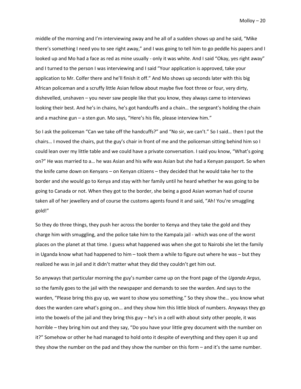middle of the morning and I'm interviewing away and he all of a sudden shows up and he said, "Mike there's something I need you to see right away," and I was going to tell him to go peddle his papers and I looked up and Mo had a face as red as mine usually - only it was white. And I said "Okay, yes right away" and I turned to the person I was interviewing and I said "Your application is approved, take your application to Mr. Colfer there and he'll finish it off." And Mo shows up seconds later with this big African policeman and a scruffy little Asian fellow about maybe five foot three or four, very dirty, dishevelled, unshaven – you never saw people like that you know, they always came to interviews looking their best. And he's in chains, he's got handcuffs and a chain… the sergeant's holding the chain and a machine gun – a sten gun. Mo says, "Here's his file, please interview him."

So I ask the policeman "Can we take off the handcuffs?" and "No sir, we can't." So I said… then I put the chairs… I moved the chairs, put the guy's chair in front of me and the policeman sitting behind him so I could lean over my little table and we could have a private conversation. I said you know, "What's going on?" He was married to a… he was Asian and his wife was Asian but she had a Kenyan passport. So when the knife came down on Kenyans – on Kenyan citizens – they decided that he would take her to the border and she would go to Kenya and stay with her family until he heard whether he was going to be going to Canada or not. When they got to the border, she being a good Asian woman had of course taken all of her jewellery and of course the customs agents found it and said, "Ah! You're smuggling gold!"

So they do three things, they push her across the border to Kenya and they take the gold and they charge him with smuggling, and the police take him to the Kampala jail - which was one of the worst places on the planet at that time. I guess what happened was when she got to Nairobi she let the family in Uganda know what had happened to him – took them a while to figure out where he was – but they realized he was in jail and it didn't matter what they did they couldn't get him out.

So anyways that particular morning the guy's number came up on the front page of the *Uganda Argus*, so the family goes to the jail with the newspaper and demands to see the warden. And says to the warden, "Please bring this guy up, we want to show you something." So they show the… you know what does the warden care what's going on… and they show him this little block of numbers. Anyways they go into the bowels of the jail and they bring this guy – he's in a cell with about sixty other people, it was horrible – they bring him out and they say, "Do you have your little grey document with the number on it?" Somehow or other he had managed to hold onto it despite of everything and they open it up and they show the number on the pad and they show the number on this form – and it's the same number.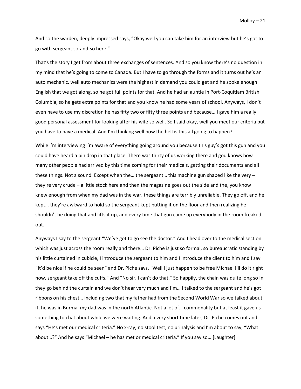And so the warden, deeply impressed says, "Okay well you can take him for an interview but he's got to go with sergeant so-and-so here."

That's the story I get from about three exchanges of sentences. And so you know there's no question in my mind that he's going to come to Canada. But I have to go through the forms and it turns out he's an auto mechanic, well auto mechanics were the highest in demand you could get and he spoke enough English that we got along, so he got full points for that. And he had an auntie in Port-Coquitlam British Columbia, so he gets extra points for that and you know he had some years of school. Anyways, I don't even have to use my discretion he has fifty two or fifty three points and because… I gave him a really good personal assessment for looking after his wife so well. So I said okay, well you meet our criteria but you have to have a medical. And I'm thinking well how the hell is this all going to happen?

While I'm interviewing I'm aware of everything going around you because this guy's got this gun and you could have heard a pin drop in that place. There was thirty of us working there and god knows how many other people had arrived by this time coming for their medicals, getting their documents and all these things. Not a sound. Except when the… the sergeant… this machine gun shaped like the very – they're very crude – a little stock here and then the magazine goes out the side and the, you know I knew enough from when my dad was in the war, these things are terribly unreliable. They go off, and he kept… they're awkward to hold so the sergeant kept putting it on the floor and then realizing he shouldn't be doing that and lifts it up, and every time that gun came up everybody in the room freaked out.

Anyways I say to the sergeant "We've got to go see the doctor." And I head over to the medical section which was just across the room really and there… Dr. Piche is just so formal, so bureaucratic standing by his little curtained in cubicle, I introduce the sergeant to him and I introduce the client to him and I say "It'd be nice if he could be seen" and Dr. Piche says, "Well I just happen to be free Michael I'll do it right now, sergeant take off the cuffs." And "No sir, I can't do that." So happily, the chain was quite long so in they go behind the curtain and we don't hear very much and I'm… I talked to the sergeant and he's got ribbons on his chest… including two that my father had from the Second World War so we talked about it, he was in Burma, my dad was in the north Atlantic. Not a lot of… commonality but at least it gave us something to chat about while we were waiting. And a very short time later, Dr. Piche comes out and says "He's met our medical criteria." No x-ray, no stool test, no urinalysis and I'm about to say, "What about…?" And he says "Michael – he has met or medical criteria." If you say so… [Laughter]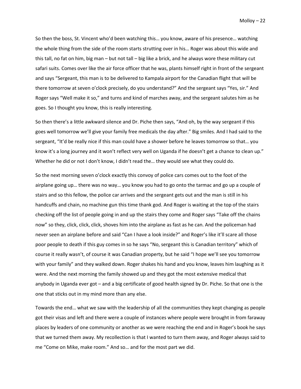So then the boss, St. Vincent who'd been watching this… you know, aware of his presence… watching the whole thing from the side of the room starts strutting over in his… Roger was about this wide and this tall, no fat on him, big man – but not tall – big like a brick, and he always wore these military cut safari suits. Comes over like the air force officer that he was, plants himself right in front of the sergeant and says "Sergeant, this man is to be delivered to Kampala airport for the Canadian flight that will be there tomorrow at seven o'clock precisely, do you understand?" And the sergeant says "Yes, sir." And Roger says "Well make it so," and turns and kind of marches away, and the sergeant salutes him as he goes. So I thought you know, this is really interesting.

So then there's a little awkward silence and Dr. Piche then says, "And oh, by the way sergeant if this goes well tomorrow we'll give your family free medicals the day after." Big smiles. And I had said to the sergeant, "It'd be really nice if this man could have a shower before he leaves tomorrow so that… you know it's a long journey and it won't reflect very well on Uganda if he doesn't get a chance to clean up." Whether he did or not I don't know, I didn't read the… they would see what they could do.

So the next morning seven o'clock exactly this convoy of police cars comes out to the foot of the airplane going up… there was no way… you know you had to go onto the tarmac and go up a couple of stairs and so this fellow, the police car arrives and the sergeant gets out and the man is still in his handcuffs and chain, no machine gun this time thank god. And Roger is waiting at the top of the stairs checking off the list of people going in and up the stairs they come and Roger says "Take off the chains now" so they, click, click, click, shoves him into the airplane as fast as he can. And the policeman had never seen an airplane before and said "Can I have a look inside?" and Roger's like it'll scare all those poor people to death if this guy comes in so he says "No, sergeant this is Canadian territory" which of course it really wasn't, of course it was Canadian property, but he said "I hope we'll see you tomorrow with your family" and they walked down. Roger shakes his hand and you know, leaves him laughing as it were. And the next morning the family showed up and they got the most extensive medical that anybody in Uganda ever got – and a big certificate of good health signed by Dr. Piche. So that one is the one that sticks out in my mind more than any else.

Towards the end… what we saw with the leadership of all the communities they kept changing as people got their visas and left and there were a couple of instances where people were brought in from faraway places by leaders of one community or another as we were reaching the end and in Roger's book he says that we turned them away. My recollection is that I wanted to turn them away, and Roger always said to me "Come on Mike, make room." And so… and for the most part we did.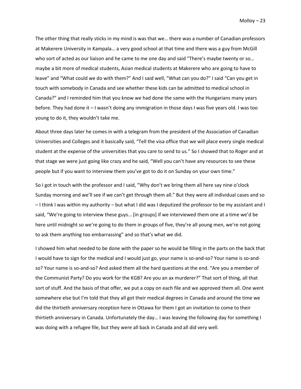The other thing that really sticks in my mind is was that we… there was a number of Canadian professors at Makerere University in Kampala… a very good school at that time and there was a guy from McGill who sort of acted as our liaison and he came to me one day and said "There's maybe twenty or so… maybe a bit more of medical students, Asian medical students at Makerere who are going to have to leave" and "What could we do with them?" And I said well, "What can you do?" I said "Can you get in touch with somebody in Canada and see whether these kids can be admitted to medical school in Canada?" and I reminded him that you know we had done the same with the Hungarians many years before. They had done it – I wasn't doing any immigration in those days I was five years old. I was too young to do it, they wouldn't take me.

About three days later he comes in with a telegram from the president of the Association of Canadian Universities and Colleges and it basically said, "Tell the visa office that we will place every single medical student at the expense of the universities that you care to send to us." So I showed that to Roger and at that stage we were just going like crazy and he said, "Well you can't have any resources to see these people but if you want to interview them you've got to do it on Sunday on your own time."

So I got in touch with the professor and I said, "Why don't we bring them all here say nine o'clock Sunday morning and we'll see if we can't get through them all." But they were all individual cases and so – I think I was within my authority – but what I did was I deputized the professor to be my assistant and I said, "We're going to interview these guys… [in groups] if we interviewed them one at a time we'd be here until midnight so we're going to do them in groups of five, they're all young men, we're not going to ask them anything too embarrassing" and so that's what we did.

I showed him what needed to be done with the paper so he would be filling in the parts on the back that I would have to sign for the medical and I would just go, your name is so-and-so? Your name is so-andso? Your name is so-and-so? And asked them all the hard questions at the end. "Are you a member of the Communist Party? Do you work for the KGB? Are you an ax murderer?" That sort of thing, all that sort of stuff. And the basis of that offer, we put a copy on each file and we approved them all. One went somewhere else but I'm told that they all got their medical degrees in Canada and around the time we did the thirtieth anniversary reception here in Ottawa for them I got an invitation to come to their thirtieth anniversary in Canada. Unfortunately the day… I was leaving the following day for something I was doing with a refugee file, but they were all back in Canada and all did very well.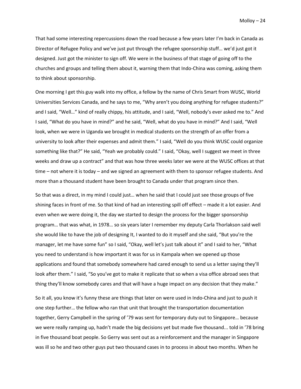That had some interesting repercussions down the road because a few years later I'm back in Canada as Director of Refugee Policy and we've just put through the refugee sponsorship stuff… we'd just got it designed. Just got the minister to sign off. We were in the business of that stage of going off to the churches and groups and telling them about it, warning them that Indo-China was coming, asking them to think about sponsorship.

One morning I get this guy walk into my office, a fellow by the name of Chris Smart from WUSC, World Universities Services Canada, and he says to me, "Why aren't you doing anything for refugee students?" and I said, "Well…" kind of really chippy, his attitude, and I said, "Well, nobody's ever asked me to." And I said, "What do you have in mind?" and he said, "Well, what do you have in mind?" And I said, "Well look, when we were in Uganda we brought in medical students on the strength of an offer from a university to look after their expenses and admit them." I said, "Well do you think WUSC could organize something like that?" He said, "Yeah we probably could." I said, "Okay, well I suggest we meet in three weeks and draw up a contract" and that was how three weeks later we were at the WUSC offices at that time – not where it is today – and we signed an agreement with them to sponsor refugee students. And more than a thousand student have been brought to Canada under that program since then.

So that was a direct, in my mind I could just… when he said that I could just see those groups of five shining faces in front of me. So that kind of had an interesting spill off effect – made it a lot easier. And even when we were doing it, the day we started to design the process for the bigger sponsorship program… that was what, in 1978… so six years later I remember my deputy Carla Thorlakson said well she would like to have the job of designing It, I wanted to do it myself and she said, "But you're the manager, let me have some fun" so I said, "Okay, well let's just talk about it" and I said to her, "What you need to understand is how important it was for us in Kampala when we opened up those applications and found that somebody somewhere had cared enough to send us a letter saying they'll look after them." I said, "So you've got to make it replicate that so when a visa office abroad sees that thing they'll know somebody cares and that will have a huge impact on any decision that they make."

So it all, you know it's funny these are things that later on were used in Indo-China and just to push it one step further… the fellow who ran that unit that brought the transportation documentation together, Gerry Campbell in the spring of '79 was sent for temporary duty out to Singapore… because we were really ramping up, hadn't made the big decisions yet but made five thousand... told in '78 bring in five thousand boat people. So Gerry was sent out as a reinforcement and the manager in Singapore was ill so he and two other guys put two thousand cases in to process in about two months. When he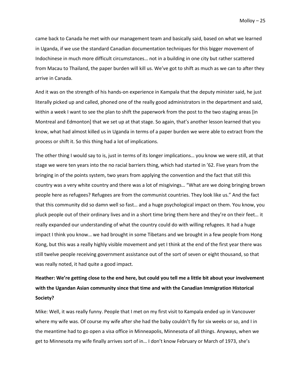came back to Canada he met with our management team and basically said, based on what we learned in Uganda, if we use the standard Canadian documentation techniques for this bigger movement of Indochinese in much more difficult circumstances… not in a building in one city but rather scattered from Macau to Thailand, the paper burden will kill us. We've got to shift as much as we can to after they arrive in Canada.

And it was on the strength of his hands-on experience in Kampala that the deputy minister said, he just literally picked up and called, phoned one of the really good administrators in the department and said, within a week I want to see the plan to shift the paperwork from the post to the two staging areas [in Montreal and Edmonton] that we set up at that stage. So again, that's another lesson learned that you know, what had almost killed us in Uganda in terms of a paper burden we were able to extract from the process or shift it. So this thing had a lot of implications.

The other thing I would say to is, just in terms of its longer implications… you know we were still, at that stage we were ten years into the no racial barriers thing, which had started in '62. Five years from the bringing in of the points system, two years from applying the convention and the fact that still this country was a very white country and there was a lot of misgivings… "What are we doing bringing brown people here as refugees? Refugees are from the communist countries. They look like us." And the fact that this community did so damn well so fast… and a huge psychological impact on them. You know, you pluck people out of their ordinary lives and in a short time bring them here and they're on their feet… it really expanded our understanding of what the country could do with willing refugees. It had a huge impact I think you know… we had brought in some Tibetans and we brought in a few people from Hong Kong, but this was a really highly visible movement and yet I think at the end of the first year there was still twelve people receiving government assistance out of the sort of seven or eight thousand, so that was really noted, it had quite a good impact.

# **Heather: We're getting close to the end here, but could you tell me a little bit about your involvement with the Ugandan Asian community since that time and with the Canadian Immigration Historical Society?**

Mike: Well, it was really funny. People that I met on my first visit to Kampala ended up in Vancouver where my wife was. Of course my wife after she had the baby couldn't fly for six weeks or so, and I in the meantime had to go open a visa office in Minneapolis, Minnesota of all things. Anyways, when we get to Minnesota my wife finally arrives sort of in… I don't know February or March of 1973, she's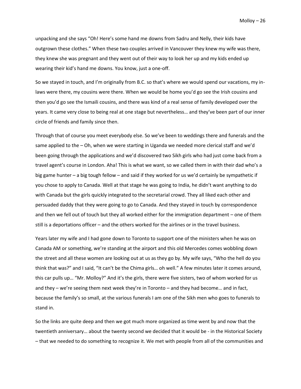unpacking and she says "Oh! Here's some hand me downs from Sadru and Nelly, their kids have outgrown these clothes." When these two couples arrived in Vancouver they knew my wife was there, they knew she was pregnant and they went out of their way to look her up and my kids ended up wearing their kid's hand me downs. You know, just a one-off.

So we stayed in touch, and I'm originally from B.C. so that's where we would spend our vacations, my inlaws were there, my cousins were there. When we would be home you'd go see the Irish cousins and then you'd go see the Ismaili cousins, and there was kind of a real sense of family developed over the years. It came very close to being real at one stage but nevertheless… and they've been part of our inner circle of friends and family since then.

Through that of course you meet everybody else. So we've been to weddings there and funerals and the same applied to the – Oh, when we were starting in Uganda we needed more clerical staff and we'd been going through the applications and we'd discovered two Sikh girls who had just come back from a travel agent's course in London. Aha! This is what we want, so we called them in with their dad who's a big game hunter – a big tough fellow – and said if they worked for us we'd certainly be sympathetic if you chose to apply to Canada. Well at that stage he was going to India, he didn't want anything to do with Canada but the girls quickly integrated to the secretarial crowd. They all liked each other and persuaded daddy that they were going to go to Canada. And they stayed in touch by correspondence and then we fell out of touch but they all worked either for the immigration department – one of them still is a deportations officer – and the others worked for the airlines or in the travel business.

Years later my wife and I had gone down to Toronto to support one of the ministers when he was on Canada AM or something, we're standing at the airport and this old Mercedes comes wobbling down the street and all these women are looking out at us as they go by. My wife says, "Who the hell do you think that was?" and I said, "It can't be the Chima girls… oh well." A few minutes later it comes around, this car pulls up… "Mr. Molloy?" And it's the girls, there were five sisters, two of whom worked for us and they – we're seeing them next week they're in Toronto – and they had become… and in fact, because the family's so small, at the various funerals I am one of the Sikh men who goes to funerals to stand in.

So the links are quite deep and then we got much more organized as time went by and now that the twentieth anniversary… about the twenty second we decided that it would be - in the Historical Society – that we needed to do something to recognize it. We met with people from all of the communities and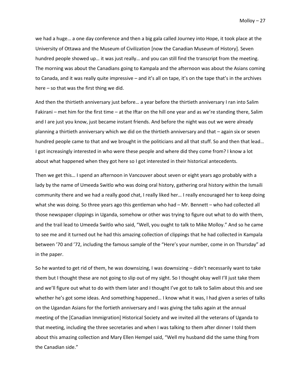we had a huge… a one day conference and then a big gala called Journey into Hope, it took place at the University of Ottawa and the Museum of Civilization [now the Canadian Museum of History]. Seven hundred people showed up… it was just really… and you can still find the transcript from the meeting. The morning was about the Canadians going to Kampala and the afternoon was about the Asians coming to Canada, and it was really quite impressive – and it's all on tape, it's on the tape that's in the archives here – so that was the first thing we did.

And then the thirtieth anniversary just before... a year before the thirtieth anniversary I ran into Salim Fakirani – met him for the first time – at the Iftar on the hill one year and as we're standing there, Salim and I are just you know, just became instant friends. And before the night was out we were already planning a thirtieth anniversary which we did on the thirtieth anniversary and that – again six or seven hundred people came to that and we brought in the politicians and all that stuff. So and then that lead… I got increasingly interested in who were these people and where did they come from? I know a lot about what happened when they got here so I got interested in their historical antecedents.

Then we get this… I spend an afternoon in Vancouver about seven or eight years ago probably with a lady by the name of Umeeda Switlo who was doing oral history, gathering oral history within the Ismaili community there and we had a really good chat, I really liked her… I really encouraged her to keep doing what she was doing. So three years ago this gentleman who had – Mr. Bennett – who had collected all those newspaper clippings in Uganda, somehow or other was trying to figure out what to do with them, and the trail lead to Umeeda Switlo who said, "Well, you ought to talk to Mike Molloy." And so he came to see me and it turned out he had this amazing collection of clippings that he had collected in Kampala between '70 and '72, including the famous sample of the "Here's your number, come in on Thursday" ad in the paper.

So he wanted to get rid of them, he was downsizing, I was downsizing – didn't necessarily want to take them but I thought these are not going to slip out of my sight. So I thought okay well I'll just take them and we'll figure out what to do with them later and I thought I've got to talk to Salim about this and see whether he's got some ideas. And something happened… I know what it was, I had given a series of talks on the Ugandan Asians for the fortieth anniversary and I was giving the talks again at the annual meeting of the [Canadian Immigration] Historical Society and we invited all the veterans of Uganda to that meeting, including the three secretaries and when I was talking to them after dinner I told them about this amazing collection and Mary Ellen Hempel said, "Well my husband did the same thing from the Canadian side."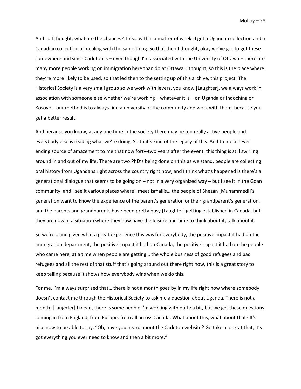And so I thought, what are the chances? This… within a matter of weeks I get a Ugandan collection and a Canadian collection all dealing with the same thing. So that then I thought, okay we've got to get these somewhere and since Carleton is – even though I'm associated with the University of Ottawa – there are many more people working on immigration here than do at Ottawa. I thought, so this is the place where they're more likely to be used, so that led then to the setting up of this archive, this project. The Historical Society is a very small group so we work with levers, you know [Laughter], we always work in association with someone else whether we're working – whatever it is – on Uganda or Indochina or Kosovo… our method is to always find a university or the community and work with them, because you get a better result.

And because you know, at any one time in the society there may be ten really active people and everybody else is reading what we're doing. So that's kind of the legacy of this. And to me a never ending source of amazement to me that now forty-two years after the event, this thing is still swirling around in and out of my life. There are two PhD's being done on this as we stand, people are collecting oral history from Ugandans right across the country right now, and I think what's happened is there's a generational dialogue that seems to be going on – not in a very organized way – but I see it in the Goan community, and I see it various places where I meet Ismailis… the people of Shezan [Muhammedi]'s generation want to know the experience of the parent's generation or their grandparent's generation, and the parents and grandparents have been pretty busy [Laughter] getting established in Canada, but they are now in a situation where they now have the leisure and time to think about it, talk about it.

So we're… and given what a great experience this was for everybody, the positive impact it had on the immigration department, the positive impact it had on Canada, the positive impact it had on the people who came here, at a time when people are getting… the whole business of good refugees and bad refugees and all the rest of that stuff that's going around out there right now, this is a great story to keep telling because it shows how everybody wins when we do this.

For me, I'm always surprised that… there is not a month goes by in my life right now where somebody doesn't contact me through the Historical Society to ask me a question about Uganda. There is not a month. [Laughter] I mean, there is some people I'm working with quite a bit, but we get these questions coming in from England, from Europe, from all across Canada. What about this, what about that? It's nice now to be able to say, "Oh, have you heard about the Carleton website? Go take a look at that, it's got everything you ever need to know and then a bit more."